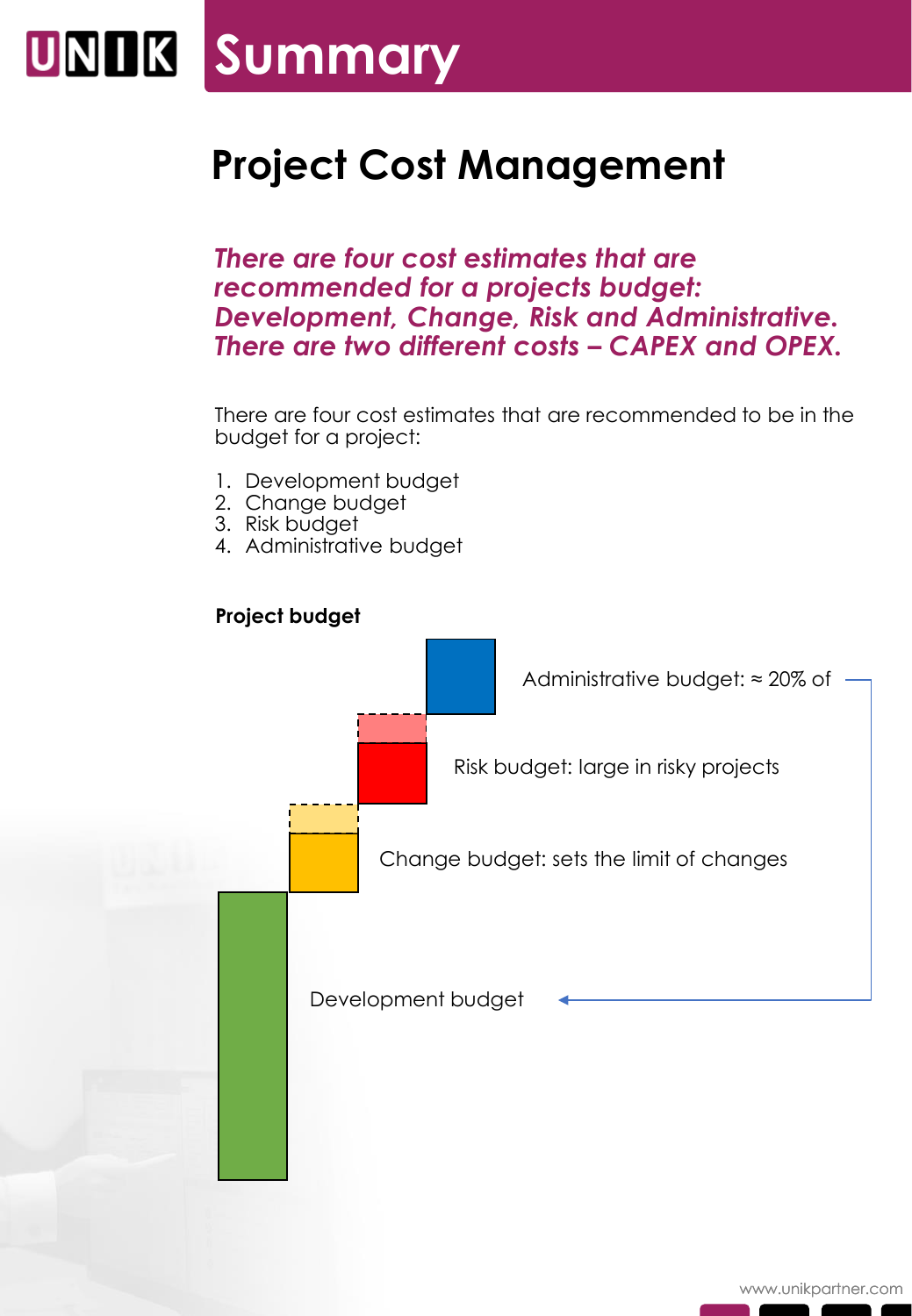# **UNIK Summary**

## **Project Cost Management**

*There are four cost estimates that are recommended for a projects budget: Development, Change, Risk and Administrative. There are two different costs – CAPEX and OPEX.*

There are four cost estimates that are recommended to be in the budget for a project:

- 1. Development budget
- 2. Change budget
- 3. Risk budget
- 4. Administrative budget

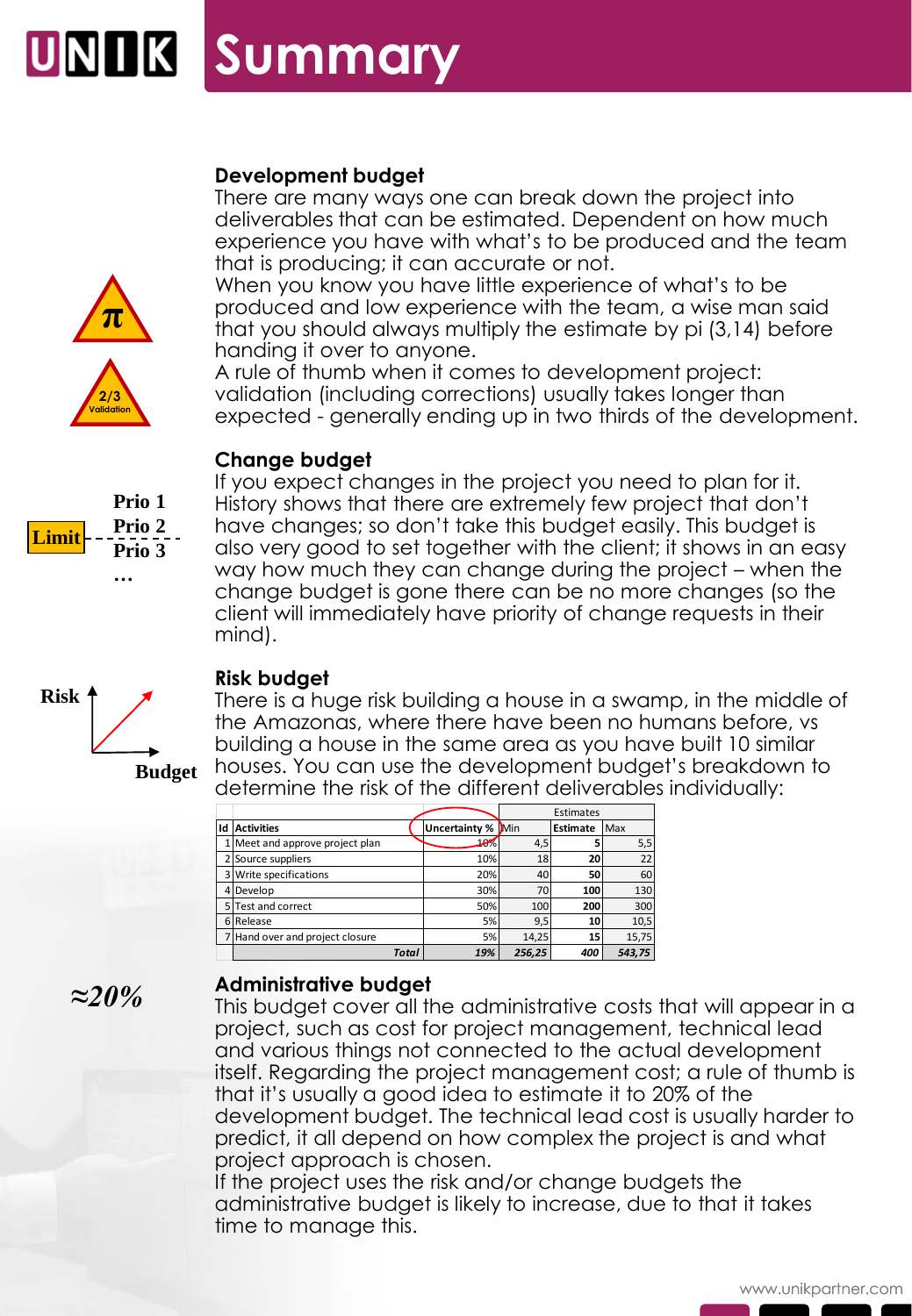### **Development budget**

There are many ways one can break down the project into deliverables that can be estimated. Dependent on how much experience you have with what's to be produced and the team that is producing; it can accurate or not.

When you know you have little experience of what's to be produced and low experience with the team, a wise man said that you should always multiply the estimate by pi (3,14) before handing it over to anyone.

A rule of thumb when it comes to development project: validation (including corrections) usually takes longer than expected - generally ending up in two thirds of the development.

### **Change budget**

If you expect changes in the project you need to plan for it. History shows that there are extremely few project that don't have changes; so don't take this budget easily. This budget is also very good to set together with the client; it shows in an easy way how much they can change during the project – when the change budget is gone there can be no more changes (so the client will immediately have priority of change requests in their mind).



**Budget**

#### **Risk budget**

There is a huge risk building a house in a swamp, in the middle of the Amazonas, where there have been no humans before, vs building a house in the same area as you have built 10 similar houses. You can use the development budget's breakdown to determine the risk of the different deliverables individually:

|    |                                 |                          | Estimates |                 |        |
|----|---------------------------------|--------------------------|-----------|-----------------|--------|
| Id | <b>Activities</b>               | <b>Uncertainty % Min</b> |           | <b>Estimate</b> | Max    |
|    | 1 Meet and approve project plan | 10%                      | 4,5       |                 | 5,5    |
|    | 2 Source suppliers              | 10%                      | 18        | 20              | 22     |
|    | 3 Write specifications          | 20%                      | 40        | 50              | 60     |
|    | 4 Develop                       | 30%                      | 70        | 100             | 130    |
|    | 5 Test and correct              | 50%                      | 100       | 200             | 300    |
|    | 6 Release                       | 5%                       | 9,5       | 10              | 10,5   |
|    | 7 Hand over and project closure | 5%                       | 14,25     | 15              | 15,75  |
|    | <b>Total</b>                    | 19%                      | 256,25    | 400             | 543,75 |

*≈20%*

#### **Administrative budget**

This budget cover all the administrative costs that will appear in a project, such as cost for project management, technical lead and various things not connected to the actual development itself. Regarding the project management cost; a rule of thumb is that it's usually a good idea to estimate it to 20% of the development budget. The technical lead cost is usually harder to predict, it all depend on how complex the project is and what project approach is chosen.

If the project uses the risk and/or change budgets the administrative budget is likely to increase, due to that it takes time to manage this.



**Prio 1 Prio 2 Prio 3**

**…**

**Limit**